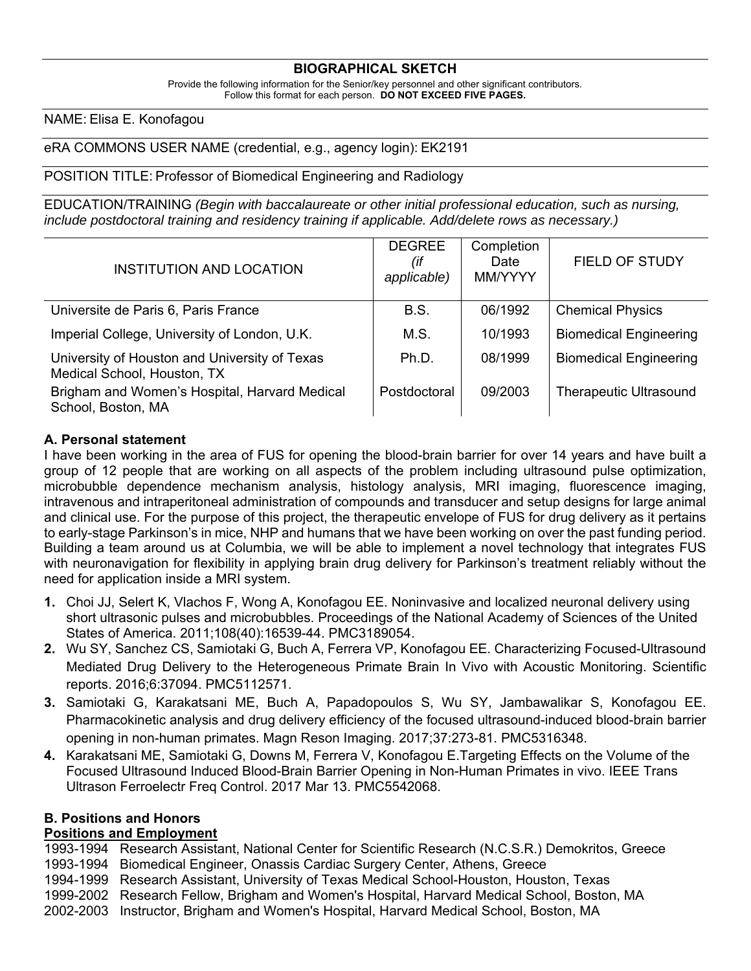#### **BIOGRAPHICAL SKETCH**

Provide the following information for the Senior/key personnel and other significant contributors. Follow this format for each person. DO NOT EXCEED FIVE PAGES.

#### NAME: Elisa E. Konofagou

eRA COMMONS USER NAME (credential, e.g., agency login): EK2191

#### POSITION TITLE: Professor of Biomedical Engineering and Radiology

EDUCATION/TRAINING *(Begin with baccalaureate or other initial professional education, such as nursing, include postdoctoral training and residency training if applicable. Add/delete rows as necessary.)*

| <b>INSTITUTION AND LOCATION</b>                                              | <b>DEGREE</b><br>(if<br>applicable) | Completion<br>Date<br>MM/YYYY | <b>FIELD OF STUDY</b>         |
|------------------------------------------------------------------------------|-------------------------------------|-------------------------------|-------------------------------|
| Universite de Paris 6, Paris France                                          | B.S.                                | 06/1992                       | <b>Chemical Physics</b>       |
| Imperial College, University of London, U.K.                                 | M.S.                                | 10/1993                       | <b>Biomedical Engineering</b> |
| University of Houston and University of Texas<br>Medical School, Houston, TX | Ph.D.                               | 08/1999                       | <b>Biomedical Engineering</b> |
| Brigham and Women's Hospital, Harvard Medical<br>School, Boston, MA          | Postdoctoral                        | 09/2003                       | <b>Therapeutic Ultrasound</b> |

#### **A. Personal statement**

I have been working in the area of FUS for opening the blood-brain barrier for over 14 years and have built a group of 12 people that are working on all aspects of the problem including ultrasound pulse optimization, microbubble dependence mechanism analysis, histology analysis, MRI imaging, fluorescence imaging, intravenous and intraperitoneal administration of compounds and transducer and setup designs for large animal and clinical use. For the purpose of this project, the therapeutic envelope of FUS for drug delivery as it pertains to early-stage Parkinson's in mice, NHP and humans that we have been working on over the past funding period. Building a team around us at Columbia, we will be able to implement a novel technology that integrates FUS with neuronavigation for flexibility in applying brain drug delivery for Parkinson's treatment reliably without the need for application inside a MRI system.

- **1.** Choi JJ, Selert K, Vlachos F, Wong A, Konofagou EE. Noninvasive and localized neuronal delivery using short ultrasonic pulses and microbubbles. Proceedings of the National Academy of Sciences of the United States of America. 2011;108(40):16539-44. PMC3189054.
- **2.** Wu SY, Sanchez CS, Samiotaki G, Buch A, Ferrera VP, Konofagou EE. Characterizing Focused-Ultrasound Mediated Drug Delivery to the Heterogeneous Primate Brain In Vivo with Acoustic Monitoring. Scientific reports. 2016;6:37094. PMC5112571.
- **3.** Samiotaki G, Karakatsani ME, Buch A, Papadopoulos S, Wu SY, Jambawalikar S, Konofagou EE. Pharmacokinetic analysis and drug delivery efficiency of the focused ultrasound-induced blood-brain barrier opening in non-human primates. Magn Reson Imaging. 2017;37:273-81. PMC5316348.
- **4.** Karakatsani ME, Samiotaki G, Downs M, Ferrera V, Konofagou E.Targeting Effects on the Volume of the Focused Ultrasound Induced Blood-Brain Barrier Opening in Non-Human Primates in vivo. IEEE Trans Ultrason Ferroelectr Freq Control. 2017 Mar 13. PMC5542068.

#### **B. Positions and Honors**

#### **Positions and Employment**

1993-1994 Research Assistant, National Center for Scientific Research (N.C.S.R.) Demokritos, Greece 1993-1994 Biomedical Engineer, Onassis Cardiac Surgery Center, Athens, Greece

- 1994-1999 Research Assistant, University of Texas Medical School-Houston, Houston, Texas
- 1999-2002 Research Fellow, Brigham and Women's Hospital, Harvard Medical School, Boston, MA
- 2002-2003 Instructor, Brigham and Women's Hospital, Harvard Medical School, Boston, MA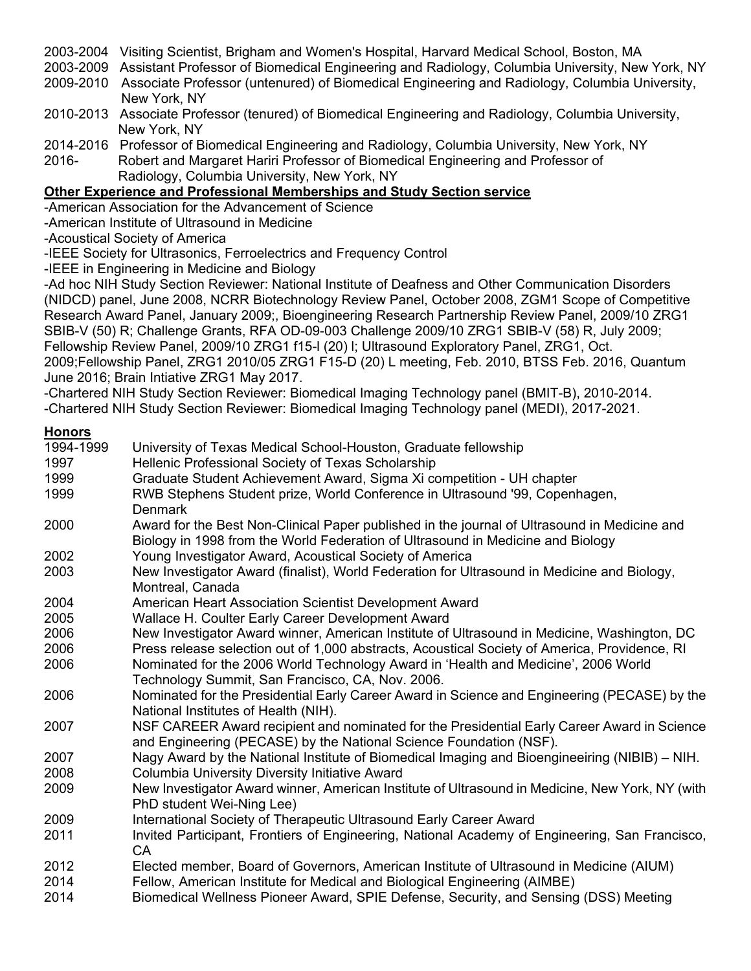2003-2004 Visiting Scientist, Brigham and Women's Hospital, Harvard Medical School, Boston, MA

2003-2009 Assistant Professor of Biomedical Engineering and Radiology, Columbia University, New York, NY

2009-2010 Associate Professor (untenured) of Biomedical Engineering and Radiology, Columbia University, New York, NY

- 2010-2013 Associate Professor (tenured) of Biomedical Engineering and Radiology, Columbia University, New York, NY
- 2014-2016 Professor of Biomedical Engineering and Radiology, Columbia University, New York, NY
- 2016- Robert and Margaret Hariri Professor of Biomedical Engineering and Professor of Radiology, Columbia University, New York, NY

# **Other Experience and Professional Memberships and Study Section service**

-American Association for the Advancement of Science

-American Institute of Ultrasound in Medicine

-Acoustical Society of America

-IEEE Society for Ultrasonics, Ferroelectrics and Frequency Control

-IEEE in Engineering in Medicine and Biology

-Ad hoc NIH Study Section Reviewer: National Institute of Deafness and Other Communication Disorders (NIDCD) panel, June 2008, NCRR Biotechnology Review Panel, October 2008, ZGM1 Scope of Competitive Research Award Panel, January 2009;, Bioengineering Research Partnership Review Panel, 2009/10 ZRG1 SBIB-V (50) R; Challenge Grants, RFA OD-09-003 Challenge 2009/10 ZRG1 SBIB-V (58) R, July 2009; Fellowship Review Panel, 2009/10 ZRG1 f15-l (20) l; Ultrasound Exploratory Panel, ZRG1, Oct. 2009;Fellowship Panel, ZRG1 2010/05 ZRG1 F15-D (20) L meeting, Feb. 2010, BTSS Feb. 2016, Quantum June 2016; Brain Intiative ZRG1 May 2017.

-Chartered NIH Study Section Reviewer: Biomedical Imaging Technology panel (BMIT-B), 2010-2014.

-Chartered NIH Study Section Reviewer: Biomedical Imaging Technology panel (MEDI), 2017-2021.

## **Honors**

| 1994-1999 | University of Texas Medical School-Houston, Graduate fellowship                                 |
|-----------|-------------------------------------------------------------------------------------------------|
| 1997      | Hellenic Professional Society of Texas Scholarship                                              |
| 1999      | Graduate Student Achievement Award, Sigma Xi competition - UH chapter                           |
| 1999      | RWB Stephens Student prize, World Conference in Ultrasound '99, Copenhagen,                     |
|           | <b>Denmark</b>                                                                                  |
| 2000      | Award for the Best Non-Clinical Paper published in the journal of Ultrasound in Medicine and    |
|           | Biology in 1998 from the World Federation of Ultrasound in Medicine and Biology                 |
| 2002      | Young Investigator Award, Acoustical Society of America                                         |
| 2003      | New Investigator Award (finalist), World Federation for Ultrasound in Medicine and Biology,     |
|           | Montreal, Canada                                                                                |
| 2004      | American Heart Association Scientist Development Award                                          |
| 2005      | Wallace H. Coulter Early Career Development Award                                               |
| 2006      | New Investigator Award winner, American Institute of Ultrasound in Medicine, Washington, DC     |
| 2006      | Press release selection out of 1,000 abstracts, Acoustical Society of America, Providence, RI   |
| 2006      | Nominated for the 2006 World Technology Award in 'Health and Medicine', 2006 World              |
|           | Technology Summit, San Francisco, CA, Nov. 2006.                                                |
| 2006      | Nominated for the Presidential Early Career Award in Science and Engineering (PECASE) by the    |
|           | National Institutes of Health (NIH).                                                            |
| 2007      | NSF CAREER Award recipient and nominated for the Presidential Early Career Award in Science     |
|           | and Engineering (PECASE) by the National Science Foundation (NSF).                              |
| 2007      | Nagy Award by the National Institute of Biomedical Imaging and Bioengineeiring (NIBIB) - NIH.   |
| 2008      | <b>Columbia University Diversity Initiative Award</b>                                           |
| 2009      | New Investigator Award winner, American Institute of Ultrasound in Medicine, New York, NY (with |
|           | PhD student Wei-Ning Lee)                                                                       |
| 2009      | International Society of Therapeutic Ultrasound Early Career Award                              |
| 2011      | Invited Participant, Frontiers of Engineering, National Academy of Engineering, San Francisco,  |
|           | CA                                                                                              |
| 2012      | Elected member, Board of Governors, American Institute of Ultrasound in Medicine (AIUM)         |
| 2014      | Fellow, American Institute for Medical and Biological Engineering (AIMBE)                       |
| 0.011     |                                                                                                 |

2014 Biomedical Wellness Pioneer Award, SPIE Defense, Security, and Sensing (DSS) Meeting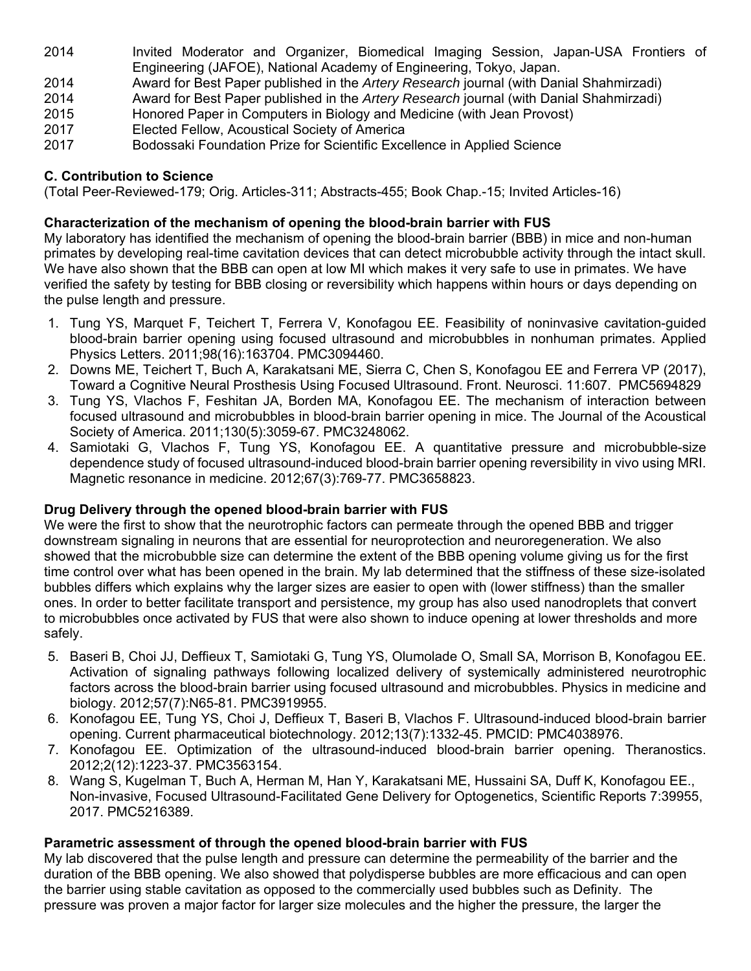- 2014 Invited Moderator and Organizer, Biomedical Imaging Session, Japan-USA Frontiers of Engineering (JAFOE), National Academy of Engineering, Tokyo, Japan.
- 2014 Award for Best Paper published in the *Artery Research* journal (with Danial Shahmirzadi)
- 2014 Award for Best Paper published in the *Artery Research* journal (with Danial Shahmirzadi)
- 2015 Honored Paper in Computers in Biology and Medicine (with Jean Provost)
- 2017 Elected Fellow, Acoustical Society of America
- 2017 Bodossaki Foundation Prize for Scientific Excellence in Applied Science

# **C. Contribution to Science**

(Total Peer-Reviewed-179; Orig. Articles-311; Abstracts-455; Book Chap.-15; Invited Articles-16)

# **Characterization of the mechanism of opening the blood-brain barrier with FUS**

My laboratory has identified the mechanism of opening the blood-brain barrier (BBB) in mice and non-human primates by developing real-time cavitation devices that can detect microbubble activity through the intact skull. We have also shown that the BBB can open at low MI which makes it very safe to use in primates. We have verified the safety by testing for BBB closing or reversibility which happens within hours or days depending on the pulse length and pressure.

- 1. Tung YS, Marquet F, Teichert T, Ferrera V, Konofagou EE. Feasibility of noninvasive cavitation-guided blood-brain barrier opening using focused ultrasound and microbubbles in nonhuman primates. Applied Physics Letters. 2011;98(16):163704. PMC3094460.
- 2. Downs ME, Teichert T, Buch A, Karakatsani ME, Sierra C, Chen S, Konofagou EE and Ferrera VP (2017), Toward a Cognitive Neural Prosthesis Using Focused Ultrasound. Front. Neurosci. 11:607. PMC5694829
- 3. Tung YS, Vlachos F, Feshitan JA, Borden MA, Konofagou EE. The mechanism of interaction between focused ultrasound and microbubbles in blood-brain barrier opening in mice. The Journal of the Acoustical Society of America. 2011;130(5):3059-67. PMC3248062.
- 4. Samiotaki G, Vlachos F, Tung YS, Konofagou EE. A quantitative pressure and microbubble-size dependence study of focused ultrasound-induced blood-brain barrier opening reversibility in vivo using MRI. Magnetic resonance in medicine. 2012;67(3):769-77. PMC3658823.

# **Drug Delivery through the opened blood-brain barrier with FUS**

We were the first to show that the neurotrophic factors can permeate through the opened BBB and trigger downstream signaling in neurons that are essential for neuroprotection and neuroregeneration. We also showed that the microbubble size can determine the extent of the BBB opening volume giving us for the first time control over what has been opened in the brain. My lab determined that the stiffness of these size-isolated bubbles differs which explains why the larger sizes are easier to open with (lower stiffness) than the smaller ones. In order to better facilitate transport and persistence, my group has also used nanodroplets that convert to microbubbles once activated by FUS that were also shown to induce opening at lower thresholds and more safely.

- 5. Baseri B, Choi JJ, Deffieux T, Samiotaki G, Tung YS, Olumolade O, Small SA, Morrison B, Konofagou EE. Activation of signaling pathways following localized delivery of systemically administered neurotrophic factors across the blood-brain barrier using focused ultrasound and microbubbles. Physics in medicine and biology. 2012;57(7):N65-81. PMC3919955.
- 6. Konofagou EE, Tung YS, Choi J, Deffieux T, Baseri B, Vlachos F. Ultrasound-induced blood-brain barrier opening. Current pharmaceutical biotechnology. 2012;13(7):1332-45. PMCID: PMC4038976.
- 7. Konofagou EE. Optimization of the ultrasound-induced blood-brain barrier opening. Theranostics. 2012;2(12):1223-37. PMC3563154.
- 8. Wang S, Kugelman T, Buch A, Herman M, Han Y, Karakatsani ME, Hussaini SA, Duff K, Konofagou EE., Non-invasive, Focused Ultrasound-Facilitated Gene Delivery for Optogenetics, Scientific Reports 7:39955, 2017. PMC5216389.

# **Parametric assessment of through the opened blood-brain barrier with FUS**

My lab discovered that the pulse length and pressure can determine the permeability of the barrier and the duration of the BBB opening. We also showed that polydisperse bubbles are more efficacious and can open the barrier using stable cavitation as opposed to the commercially used bubbles such as Definity. The pressure was proven a major factor for larger size molecules and the higher the pressure, the larger the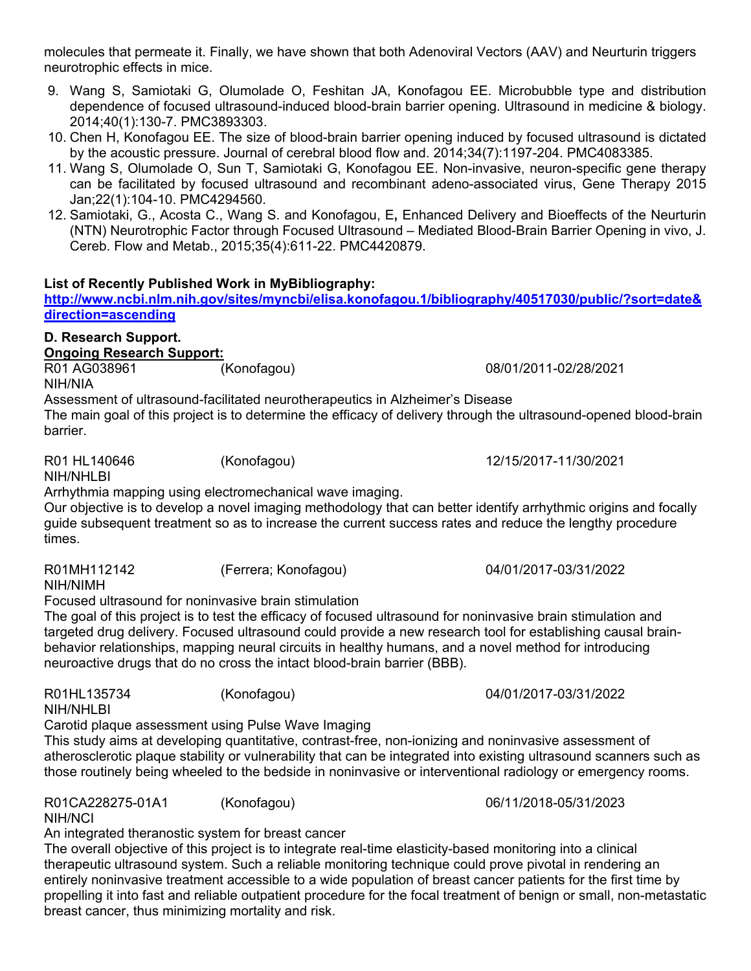molecules that permeate it. Finally, we have shown that both Adenoviral Vectors (AAV) and Neurturin triggers neurotrophic effects in mice.

- 9. Wang S, Samiotaki G, Olumolade O, Feshitan JA, Konofagou EE. Microbubble type and distribution dependence of focused ultrasound-induced blood-brain barrier opening. Ultrasound in medicine & biology. 2014;40(1):130-7. PMC3893303.
- 10. Chen H, Konofagou EE. The size of blood-brain barrier opening induced by focused ultrasound is dictated by the acoustic pressure. Journal of cerebral blood flow and. 2014;34(7):1197-204. PMC4083385.
- 11. Wang S, Olumolade O, Sun T, Samiotaki G, Konofagou EE. Non-invasive, neuron-specific gene therapy can be facilitated by focused ultrasound and recombinant adeno-associated virus, Gene Therapy 2015 Jan;22(1):104-10. PMC4294560.
- 12. Samiotaki, G., Acosta C., Wang S. and Konofagou, E**,** Enhanced Delivery and Bioeffects of the Neurturin (NTN) Neurotrophic Factor through Focused Ultrasound – Mediated Blood-Brain Barrier Opening in vivo, J. Cereb. Flow and Metab., 2015;35(4):611-22. PMC4420879.

## **List of Recently Published Work in MyBibliography:**

**http://www.ncbi.nlm.nih.gov/sites/myncbi/elisa.konofagou.1/bibliography/40517030/public/?sort=date& direction=ascending**

# **D. Research Support.**

**Ongoing Research Support:**  R01 AG038961 (Konofagou) 08/01/2011-02/28/2021

NIH/NIA

Assessment of ultrasound-facilitated neurotherapeutics in Alzheimer's Disease

The main goal of this project is to determine the efficacy of delivery through the ultrasound-opened blood-brain barrier.

R01 HL140646 (Konofagou) 12/15/2017-11/30/2021

NIH/NHLBI

Arrhythmia mapping using electromechanical wave imaging.

Our objective is to develop a novel imaging methodology that can better identify arrhythmic origins and focally guide subsequent treatment so as to increase the current success rates and reduce the lengthy procedure times.

R01MH112142 (Ferrera; Konofagou) 04/01/2017-03/31/2022

NIH/NIMH Focused ultrasound for noninvasive brain stimulation

The goal of this project is to test the efficacy of focused ultrasound for noninvasive brain stimulation and targeted drug delivery. Focused ultrasound could provide a new research tool for establishing causal brainbehavior relationships, mapping neural circuits in healthy humans, and a novel method for introducing neuroactive drugs that do no cross the intact blood-brain barrier (BBB).

R01HL135734 (Konofagou) 04/01/2017-03/31/2022 NIH/NHLBI

Carotid plaque assessment using Pulse Wave Imaging

This study aims at developing quantitative, contrast-free, non-ionizing and noninvasive assessment of atherosclerotic plaque stability or vulnerability that can be integrated into existing ultrasound scanners such as those routinely being wheeled to the bedside in noninvasive or interventional radiology or emergency rooms.

R01CA228275-01A1 (Konofagou) 06/11/2018-05/31/2023

NIH/NCI

An integrated theranostic system for breast cancer

The overall objective of this project is to integrate real-time elasticity-based monitoring into a clinical therapeutic ultrasound system. Such a reliable monitoring technique could prove pivotal in rendering an entirely noninvasive treatment accessible to a wide population of breast cancer patients for the first time by propelling it into fast and reliable outpatient procedure for the focal treatment of benign or small, non-metastatic breast cancer, thus minimizing mortality and risk.